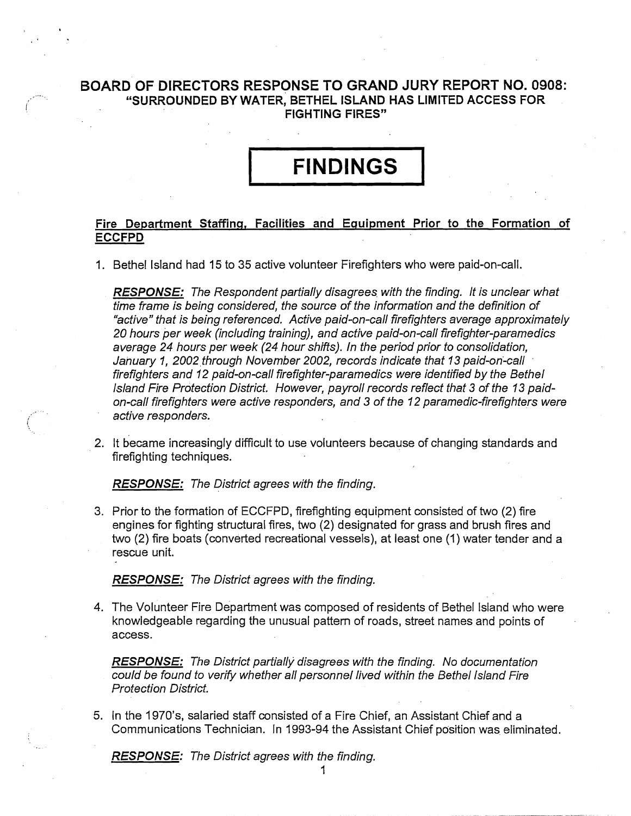### **BOARD OF DIRECTORS RESPONSE TO GRAND JURY REPORT NO. 0908:**  I **"SURROUNDED BY WATER, BETHEL ISLAND HAS LIMITED ACCESS FOR FIGHTING FIRES"**

## **FINDINGS**

#### **Fire Department Staffing, Facilities and Eauipment** Prior **to the Formation of ECCFPD**

I. Bethel Island had 15 to 35 active volunteer Firefighters who were paid-on-call.

**RESPONSE:** The Respondent pariially disagrees with the finding. It is unclear what time frame is being considered, the source of the information and the definifion of "active" that is being referenced. Active paid-on-call firefighters average approximately 20 hours per week (including training), and active paid-on-call firefighter-paramedics average 24 hours per week (24 hour shifts). In the period prior to consolidafion, January **7,** 2002 through November 2002, records indicate that 13 paid-on-call firefighters and **7** 2 paid-on-call firefighter-paramedics were identified by the Befhel lsland Fire Protection District. However, payroll records reflect that 3 of the **73** paidon-call firefighters were active responders, and 3 of the **7** 2 paramedic-firefigh ters were active responders.

2. It became increasingly difficult to use volunteers because of changing standards and firefighting techniques.

**RESPONSE:** The District agrees with the finding.

3. Prior to the formation of ECCFPD, firefighting equipment consisted of two (2) fire engines for fighting structural fires, two (2) designated for grass and brush fires and two (2) fire boats (converted recreational vessels), at least one (I) water tender and a rescue unit.

**RESPONSE:** The District agrees with the finding.

**4.** The Volunteer Fire Department was composed of residents of Bethel Island who were knowledgeable regarding the unusual pattern of roads, street names and points of access.

**RESPONSE:** The District partially disagrees with the finding. No documentation could be found to verify whether all personnel lived within the Bethel Island Fire Protection District.

5. In the 1970's, salaried staff consisted of a Fire Chief, an Assistant Chief and a Communications Technician. In 1993-94 the Assistant Chief position was eliminated.

**RESPONSE:** The District agrees with the finding.

. .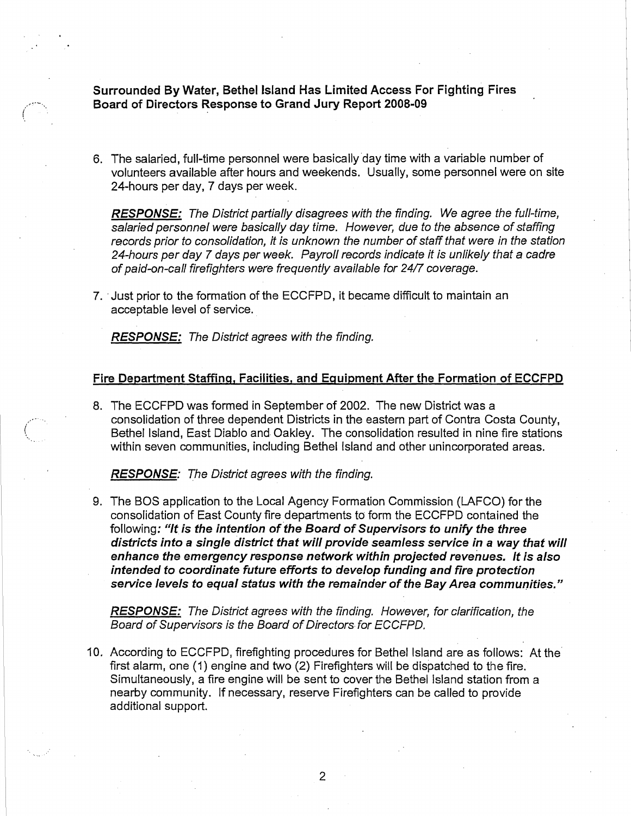**Surrounded By Water, Bethel lsland Has Limited Access For** Fighting **Fires ,..- Board of Directors Response to Grand Jury Report 2008-09 <sup>I</sup>**

6. The salaried, full-time personnel were basically day time with a variable number of volunteers available after hours and weekends. Usually, some personnel were on site 24-hours per day, 7 days per week.

**RESPONSE:** The District parfially disagrees with the finding. We agree the full-time, salaried personnel were basically day time. However, due to the absence of staffing records prior to consolidafion, it is unknown the number of staff that were in the station 24-hours per day 7 days per week. Payroll records indicate it is unlikely that a cadre of paid-on-call firefighters were frequently available for 2417 coverage.

7. Just prior to the formation of the ECCFPD, it became difficult to maintain an acceptable level of service.

**RESPONSE:** The District agrees with the finding.

I

#### **Fire Department Staffinq, Facilities, and Equipment After the Formation of ECCFPD**

8. The ECCFPD was formed in September of 2002. The new District was a consolidation of three dependent Districts in the eastern part of Contra Costa County, Bethel Island, East Diablo and Oakley. The consolidation resulted in nine fire stations within seven communities, including Bethel lsland and other unincorporated areas.

**RESPONSE:** The Disfrict agrees with the finding.

9. The BOS application to the Local Agency Formation Commission (LAFCO) for the consolidation of East County fire departments to form the ECCFPD contained the following: **"If is the infention of the Board of Supervisors to unify the three disfricfs into a single disfricf fhat will provide seamless service in a way that will enhance fhe emergency response network wifhin projected revenues. If is aiso intended fo coordinafe fufure efforts to develop funding and fire profecfion service levels to equal sfafus with fhe remainder of fhe Bay Area communifies.** "

**RESPONSE:** The District agrees with the finding. However, for clarification, the Board of Supervisors is the Board of Directors for ECCFPD.

10. According to ECCFPD, firefighting procedures for Bethel lsland are as follows: At the first alarm, one (1) engine and two (2) Firefighters will be dispatched to the fire. Simultaneously, a fire engine will be sent to cover the Bethel lsland station from a nearby community. If necessary, reserve Firefighters can be called to provide additional support.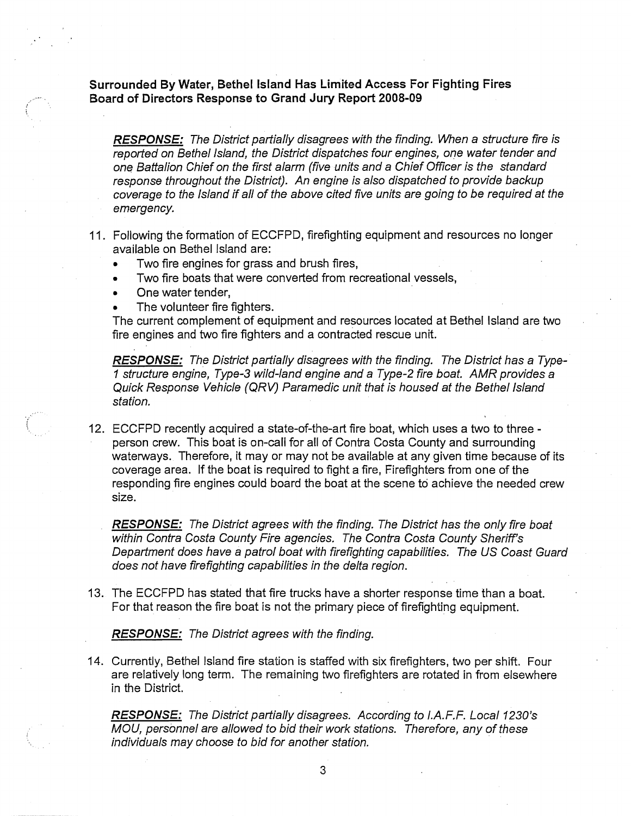**Surrounded By Water, Bethel lsland Has Limited Access For Fighting Fires Board of Directors Response to Grand Jury Report 2008-09** 

**RESPONSE:** The District partially disagrees with the finding. When a structure fire is reported on Bethel Island, the Disfricf dispatches four engines, one wafer fender and one Batfalion Chief on fhe first alarm (five units and a Chief Officer is fhe sfandard response throughout fhe Disfricf). An engine is also dispatched to provide backup coverage fo the lsland if all of the above cited five units are going to be required at fhe emergency,

- 11. Following the formation of ECCFPD, firefighting equipment and resources no longer available on Bethel lsland are:
	- Two fire engines for grass and brush fires,
	- Two fire boats that were converted from recreational vessels,
	- One water tender,
	- The volunteer fire fighters.

The current complement of equipment and resources located at Bethel lsland are two fire engines and two fire fighters and a contracted rescue unit.

**RESPONSE:** The Disfrict partially disagrees wifh fhe finding. The Districf has a Type- ? strucfure engine, Type-3 wild-land engine and a Type-2 fire boaf. AMR provides a Quick Response Vehicle (QRV) Paramedic unit that is housed at the Befhel lsland stafion.

12. ECCFPD recently acquired a state-of-the-art fire boat, which uses a two to three person crew. This boat is on-call for all of Contra Costa County and surrounding waterways. Therefore, it may or may not be available at any given time because of its coverage area. If the boat is required to fight a fire, Firefighters from one of the responding fire engines could board the boat at the scene to achieve the needed crew size.

**RESPONSE:** The Disfrict agrees wifh fhe finding. The District has fhe only fire boat within Contra Costa County Fire agencies. The Contra Costa County Sheriff's Departmenf does have a patrol boaf with firefighfing capabilifies. The US Coast Guard does not have firefighfing capabilifies in the delta region.

13. The ECCFPD has stated that fire trucks have a shorter response time than a boat. For that reason the fire boat is not the primary piece of firefighting equipment.

**RESPONSE:** The Disfricf agrees wifh fhe finding.

14. Currently, Bethel lsland fire station is staffed with six firefighters, two per shift. Four are relatively long term. The remaining two firefighters are rotated in from elsewhere in the District.

**RESPONSE:** The Districf partially disagrees. According fo /.A. *F,* F. Local 1230's MOU, personnel are allowed fo bid fheir work sfafions. Therefore, any of these individuals may choose to bid for another stafion.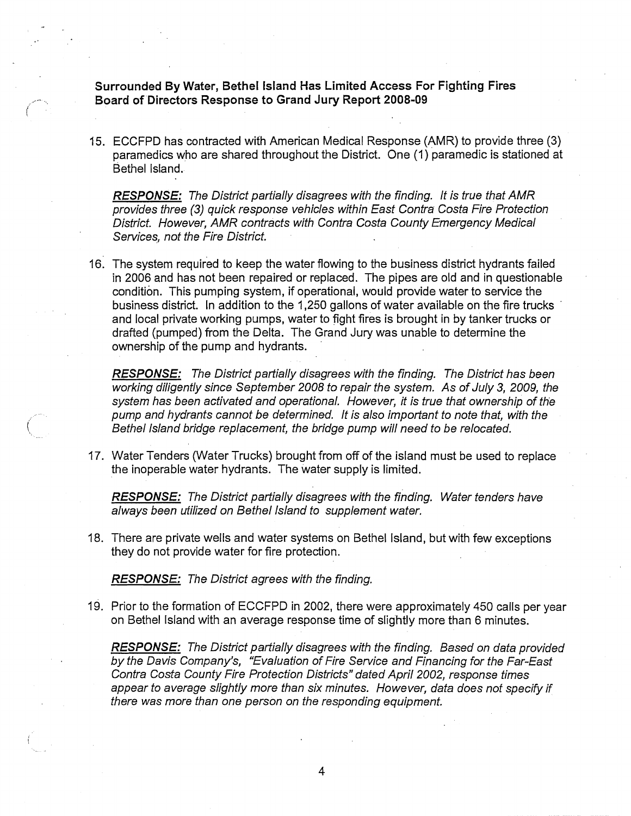**Surrounded By Water, Bethel lsland Has Limited Access For Fighting Fires Board of Directors Response to Grand Jury Report 2008-09** 

15. ECCFPD has contracted wifh American Medical Response (AMR) to provide three (3) paramedics who are shared throughout the District. One (I) paramedic is stationed at Bethel Island.

**RESPONSE:** The Districf partially disagrees with the finding. It is true that AMR provides three (3) quick response vehicles within East Contra Costa Fire Protection District. However, AMR contracts with Contra Costa County Emergency Medical Services, not the Fire District.

16. The system required to keep the water flowing to the business district hydrants failed in 2006 and has not been repaired or replaced. The pipes are old and in questionable condition. This pumping system, if operational, would provide water to service the business district. In addition to the 1,250 gallons of water available on the fire trucks ' and local private working pumps, water to fight fires is brought in by tanker trucks or drafted (pumped) from the Delta. The Grand Jury was unable to determine the ownership of the pump and hydrants.

**RESPONSE:** The Districf partially disagrees with the finding. The Districf has been working diligently since September 2008 to repair the system. As of July 3, 2009, the system has been activated and operational. However, it is true that ownership of the pump and hydrants cannot be determined. It is also important to note that, with the Bethel lsland bridge replacement, the bridge pump will need to be relocated.

17. Water Tenders (Water Trucks) brought from off of the island must be used to replace the inoperable water hydrants. The water supply is limited.

**RESPONSE:** The District partially disagrees with the finding. Water tenders have always been utilized on Bethel lsland to supplement water,

18. There are private wells and water systems on Bethel Island, but with few exceptions they do not provide water for fire protection.

**RESPONSE:** The Districf agrees with the finding.

19. Prior to the formation of ECCFPD in 2002, there were approximately 450 calls per year on Bethel lsland with an average response time of slightly more than 6 minutes.

**RESPONSE:** The District partially disagrees with the finding. Based on data provided by the Davis Company's, "Evaluation of Fire Service and Financing for the Far-East Contra Costa County Fire Protection Districts" dated April 2002, response times appear to average slightly more than six minutes. However, data does not specify if there was more than one person on the responding equipment.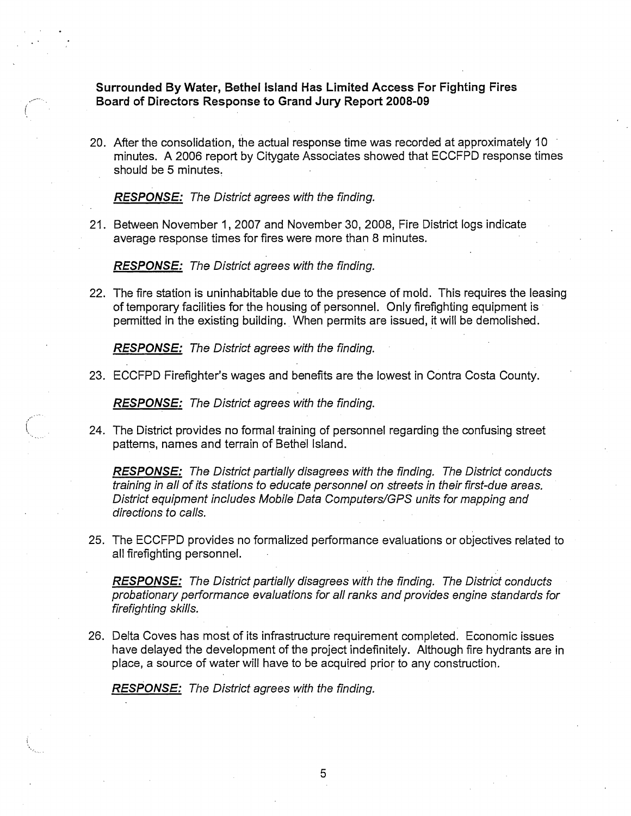Surrounded **By** Water, Bethel Island Has Limited Access For Fighting Fires Board of Directors Response to Grand **Jury** Report **2008-09** 

20. After the consolidation, the actual response time was recorded at approximately 10 minutes. A 2006 report by Citygate Associates showed that ECCFPD response times should be 5 minutes.

**RESPONSE:** The Districf agrees wifh fhe finding.

21. Between November **7,** 2007 and November 30, 2008, Fire District logs indicate average response times for fires were more than 8 minutes.

**RESPONSE:** The Disfrict agrees wifh fhe finding.

22. The fire station is uninhabitable due to the presence of mold. This requires the leasing of temporary facilities for the housing of personnel. Only firefighting equipment is permitted in the existing building. When permits are issued, **it** will be demolished.

**RESPONSE:** The Districf agrees wifh fhe finding.

23. ECCFPD Firefighter's wages and benefits are the lowest in Contra Costa County.

**RESPONSE:** The Districf agrees wifh fhe finding.

24. The District provides no formal training of personnel regarding the confusing street patterns, names and terrain of Bethel Island.

**RESPONSE:** The District partially disagrees with the finding. The District conducts fraining in all of ifs sfafions to educafe personnel on streets in their firsf-due areas. District equipmenf includes Mobile Data Computers/GPS units for mapping and directions to calls.

25. The ECCFPD provides no formalized performance evaluations or objectives related to all firefighting personnel.

**RESPONSE:** The District partially disagrees with the finding. The District conducts probafionary performance evaluafions for all ranks and provides engine sfandards for firefighting skills.

26. Delta Coves has most of its infrastructure requirement completed. Economic issues have delayed the development of the project indefinitely. Although fire hydrants are in place, a source of water will have to be acquired prior to any construction.

**RESPONSE:** The District agrees with the finding.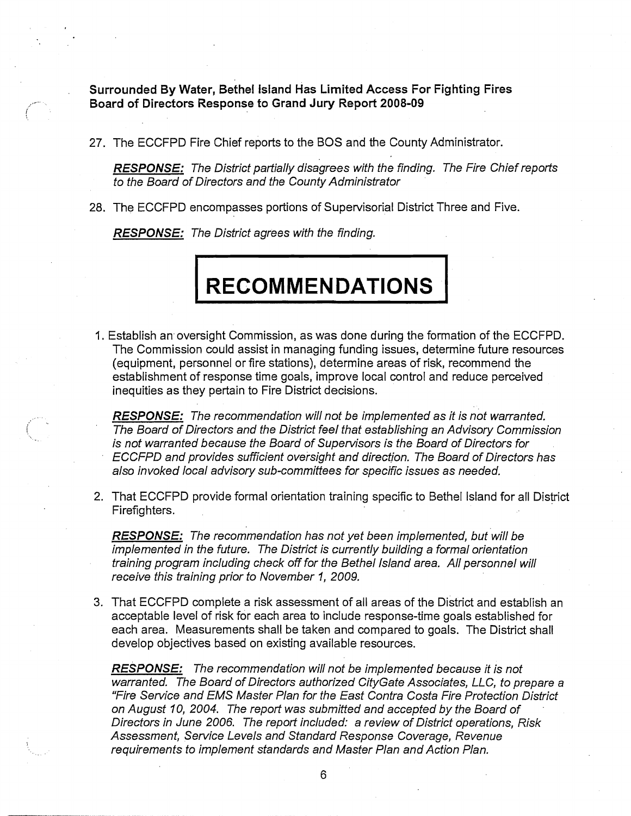Surrounded **By** Water, Bethel island **Has** Limited Access For Fighting Fires Board of Directors Response to Grand **Jury** Report **2008-09** 

27. The ECCFPD Fire Chief reports to the BOS and the County Administrator.

**RESPONSE:** The District partially disagrees with the finding. The Fire Chief reports to the Board of Directors and the County Administrator

28. The ECCFPD encompasses portions of Supervisorial District Three and Five.

**RESPONSE:** The District agrees with the finding.

|<br>|<br>|

# **RECOMMENDATIONS**

I. Establish an oversight Commission, as was done during the formation of the ECCFPD. The Commission could assist in managing funding issues, determine future resources (equipment, personnel or fire stations), determine areas of risk, recommend the establishment of response time goals, improve local control and reduce perceived inequities as they pertain to Fire District decisions.

**RESPONSE:** The recommendation will not be implemenfed as it is not warranted. The Board of Directors and the Districf feel that establishing an Advisory Commission is not warranted because the Board of Supervisors is the Board of Directors for ECCFPD and provides sufficient oversight and direction. The Board of Directors has also invoked local advisory sub-committees for specific issues as needed.

2. That ECCFPD provide formal orientation training specific to Bethel Island for all District Firefighters.

**RESPONSE:** The recommendation has not yet been implemenfed, but will be implemented in the future. The Districf is currently building a formal orientation training program including check off for the Bethel Island area. All personnel will receive this training prior to November 7, 2009.

3. That ECCFPD complete a risk assessment of all areas of the District and establish an acceptable level of risk for each area to include response-time goals established for each area. Measurements shall be taken and compared to goals. The District shall develop objectives based on existing available resources.

**RESPONSE:** The recommendation will not be implemented because it is not warranted. The Board of Directors authorized CityGate Associates, LLC, to prepare a "Fire Service and EMS Master Plan for the East Contra Costa Fire Protection Districf on August 10, 2004. The report was submitted and accepted by the Board of Directors in June 2006. The report included: a review of Districf operafions, Risk Assessment, Service Levels and Standard Response Coverage, Revenue requirements to implement standards and Master Plan and Action Plan.